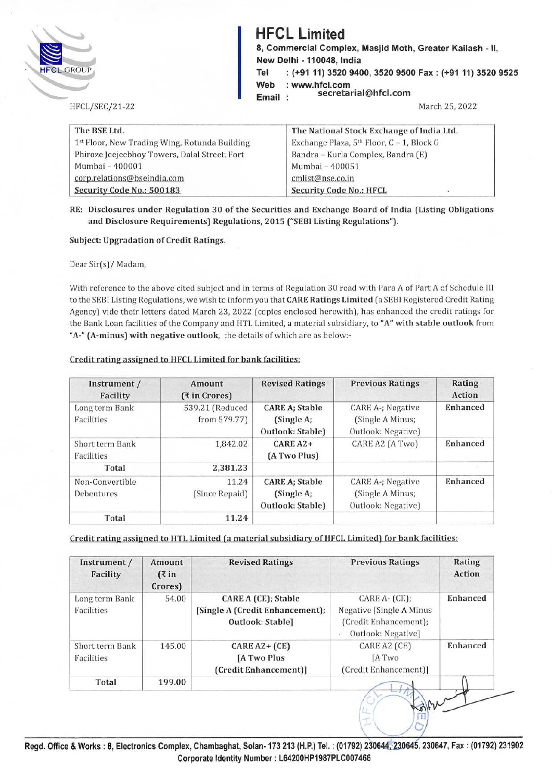| <b>HFCL GROUP</b>                             | <b>HFCL Limited</b><br>8, Commercial Complex, Masjid Moth, Greater Kailash - II,<br>New Delhi - 110048, India<br>: (+91 11) 3520 9400, 3520 9500 Fax: (+91 11) 3520 9525<br>Tel |                                                          |
|-----------------------------------------------|---------------------------------------------------------------------------------------------------------------------------------------------------------------------------------|----------------------------------------------------------|
| HFCL/SEC/21-22                                | Web<br>Email:                                                                                                                                                                   | : www.hfcl.com<br>secretarial@hfcl.com<br>March 25, 2022 |
|                                               |                                                                                                                                                                                 |                                                          |
| The BSE Ltd.                                  |                                                                                                                                                                                 | The National Stock Exchange of India Ltd.                |
| 1st Floor, New Trading Wing, Rotunda Building |                                                                                                                                                                                 | Exchange Plaza, $5th$ Floor, $C - 1$ , Block G           |
| Phiroze Jeejeebhoy Towers, Dalal Street, Fort |                                                                                                                                                                                 | Bandra – Kurla Complex, Bandra (E)                       |
| Mumbai - 400001                               |                                                                                                                                                                                 | Mumbai - 400051                                          |
| corp.relations@bseindia.com                   |                                                                                                                                                                                 | cmlist@nse.co.in                                         |

**RE: Disclosures under Regulation 30 of the Securities and Exchange Board of India (Listing Obligations and Disclosure Requirements) Regulations, 2015 ("SEBI Listing Regulations").** 

**Subject: Upgradation of Credit Ratings.** 

Dear Sir(s)/ Madam,

With reference to the above cited subject and in terms of Regulation 30 read with Para A of Part A of Schedule Ill to the SEBI Listing Regulations, we wish to inform you that **CARE Ratings Limited** (a SEBI Registered Credit Rating Agency) vide their letters dated March 23, 2022 (copies enclosed herewith), has enhanced the credit ratings for the Bank Loan facilities of the Company and HTL Limited, a material subsidiary, to **"A" with stable outlook** from **"A-" (A-minus) with negative outlook,** the details of which arc as below:-

| Instrument /<br>Facility      | Amount<br>(₹ in Crores)         | <b>Revised Ratings</b>                                  | <b>Previous Ratings</b>                                     | Rating<br>Action |
|-------------------------------|---------------------------------|---------------------------------------------------------|-------------------------------------------------------------|------------------|
| Long term Bank<br>Facilities  | 539.21 (Reduced<br>from 579.77) | <b>CARE A; Stable</b><br>(Single A;<br>Outlook: Stable) | CARE A-; Negative<br>(Single A Minus;<br>Outlook: Negative) | Enhanced         |
| Short term Bank<br>Facilities | 1,842.02                        | $CAREA2+$<br>(A Two Plus)                               | CARE A2 (A Two)                                             | Enhanced         |
| Total                         | 2,381.23                        |                                                         |                                                             |                  |
| Non-Convertible<br>Debentures | 11.24<br>(Since Repaid)         | <b>CARE A; Stable</b><br>(Single A;<br>Outlook: Stable) | CARE A-; Negative<br>(Single A Minus;<br>Outlook: Negative) | <b>Enhanced</b>  |
| Total                         | 11.24                           |                                                         |                                                             |                  |

### **Credit rating assigned to HFCL Limited for bank facilities:**

#### **Credit rating assigned to HTL Limited (a material subsidiary of HFCL Limited) for bank facilities:**

| Instrument /<br>Facility      | Amount<br>( ₹ in<br>Crores) | <b>Revised Ratings</b>                                                     | <b>Previous Ratings</b>                                                                            | Rating<br>Action |
|-------------------------------|-----------------------------|----------------------------------------------------------------------------|----------------------------------------------------------------------------------------------------|------------------|
| Long term Bank<br>Facilities  | 54.00                       | CARE A (CE); Stable<br>[Single A (Credit Enhancement);<br>Outlook: Stable] | $CARE A - (CE);$<br>Negative [Single A Minus]<br>(Credit Enhancement);<br>Outlook: Negative]<br>W. | Enhanced         |
| Short term Bank<br>Facilities | 145.00                      | $CARE A2+ (CE)$<br>[A Two Plus<br>(Credit Enhancement)]                    | CARE A2 (CE)<br><b>IA Two</b><br>(Credit Enhancement)]                                             | Enhanced         |
| Total                         | 199.00                      |                                                                            |                                                                                                    |                  |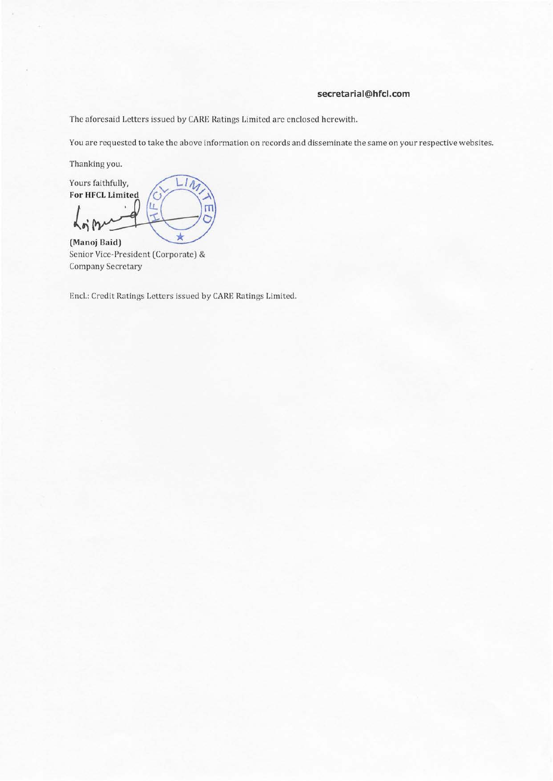#### **secretarial@hfcl.com**

The aforesaid Letters issued by CARE Ratings Limited are enclosed herewith.

You are requested to take the above information on records and disseminate the same on your respective websites.

Thanking you.

 $L1\overline{A}$ Yours faithfully, For HFCL Limited  $\mathbf C$ LL. П  $\overline{\mathcal{A}}$ 人  $\star$ **(Manoj Baid)** 

Senior Vice-President (Corporate) & Company Secretary

Encl.: Credit Ratings Letters issued by CARE Ratings Limited.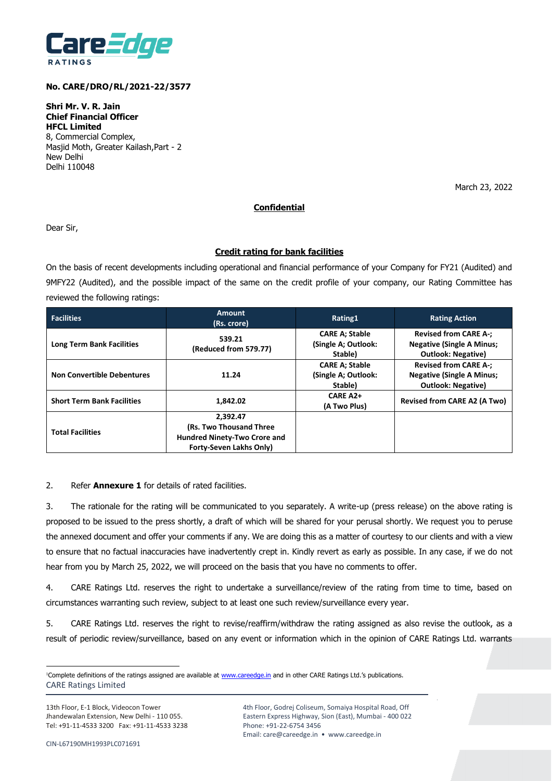

#### **No. CARE/DRO/RL/2021-22/3577**

**Shri Mr. V. R. Jain Chief Financial Officer HFCL Limited** 8, Commercial Complex, Masjid Moth, Greater Kailash,Part - 2 New Delhi Delhi 110048

March 23, 2022

### **Confidential**

Dear Sir,

### **Credit rating for bank facilities**

On the basis of recent developments including operational and financial performance of your Company for FY21 (Audited) and 9MFY22 (Audited), and the possible impact of the same on the credit profile of your company, our Rating Committee has reviewed the following ratings:

| <b>Facilities</b>                 | Amount<br>(Rs. crore)                                                                                        | Rating1                                                 | <b>Rating Action</b>                                                                          |
|-----------------------------------|--------------------------------------------------------------------------------------------------------------|---------------------------------------------------------|-----------------------------------------------------------------------------------------------|
| <b>Long Term Bank Facilities</b>  | 539.21<br>(Reduced from 579.77)                                                                              | <b>CARE A; Stable</b><br>(Single A; Outlook:<br>Stable) | <b>Revised from CARE A-;</b><br><b>Negative (Single A Minus;</b><br><b>Outlook: Negative)</b> |
| <b>Non Convertible Debentures</b> | 11.24                                                                                                        | <b>CARE A; Stable</b><br>(Single A; Outlook:<br>Stable) | <b>Revised from CARE A-;</b><br><b>Negative (Single A Minus;</b><br><b>Outlook: Negative)</b> |
| <b>Short Term Bank Facilities</b> | 1.842.02                                                                                                     | CARE A <sub>2+</sub><br>(A Two Plus)                    | <b>Revised from CARE A2 (A Two)</b>                                                           |
| <b>Total Facilities</b>           | 2.392.47<br>(Rs. Two Thousand Three<br><b>Hundred Ninety-Two Crore and</b><br><b>Forty-Seven Lakhs Only)</b> |                                                         |                                                                                               |

#### 2. Refer **Annexure 1** for details of rated facilities.

3. The rationale for the rating will be communicated to you separately. A write-up (press release) on the above rating is proposed to be issued to the press shortly, a draft of which will be shared for your perusal shortly. We request you to peruse the annexed document and offer your comments if any. We are doing this as a matter of courtesy to our clients and with a view to ensure that no factual inaccuracies have inadvertently crept in. Kindly revert as early as possible. In any case, if we do not hear from you by March 25, 2022, we will proceed on the basis that you have no comments to offer.

4. CARE Ratings Ltd. reserves the right to undertake a surveillance/review of the rating from time to time, based on circumstances warranting such review, subject to at least one such review/surveillance every year.

5. CARE Ratings Ltd. reserves the right to revise/reaffirm/withdraw the rating assigned as also revise the outlook, as a result of periodic review/surveillance, based on any event or information which in the opinion of CARE Ratings Ltd. warrants

CARE Ratings Limited <sup>1</sup>Complete definitions of the ratings assigned are available at [www.careedge.in](http://www.careedge.in/) and in other CARE Ratings Ltd.'s publications.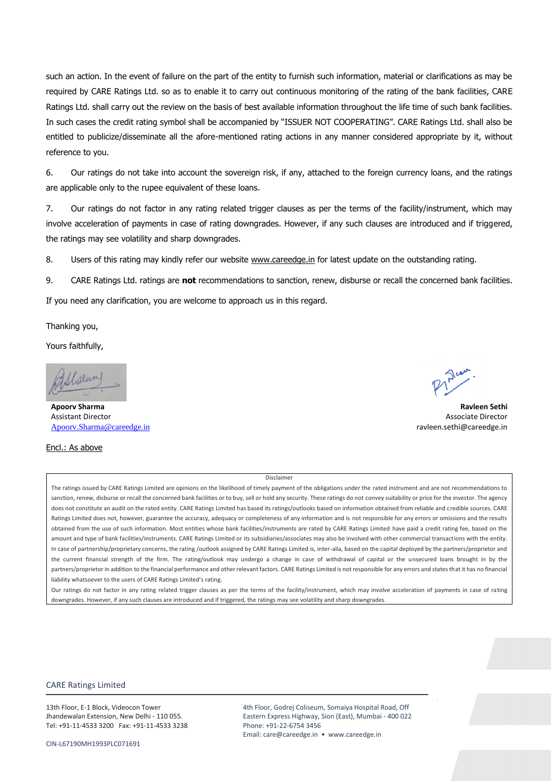such an action. In the event of failure on the part of the entity to furnish such information, material or clarifications as may be required by CARE Ratings Ltd. so as to enable it to carry out continuous monitoring of the rating of the bank facilities, CARE Ratings Ltd. shall carry out the review on the basis of best available information throughout the life time of such bank facilities. In such cases the credit rating symbol shall be accompanied by "ISSUER NOT COOPERATING". CARE Ratings Ltd. shall also be entitled to publicize/disseminate all the afore-mentioned rating actions in any manner considered appropriate by it, without reference to you.

6. Our ratings do not take into account the sovereign risk, if any, attached to the foreign currency loans, and the ratings are applicable only to the rupee equivalent of these loans.

7. Our ratings do not factor in any rating related trigger clauses as per the terms of the facility/instrument, which may involve acceleration of payments in case of rating downgrades. However, if any such clauses are introduced and if triggered, the ratings may see volatility and sharp downgrades.

8. Users of this rating may kindly refer our website www.careedge.in for latest update on the outstanding rating.

9. CARE Ratings Ltd. ratings are **not** recommendations to sanction, renew, disburse or recall the concerned bank facilities.

If you need any clarification, you are welcome to approach us in this regard.

Thanking you,

Yours faithfully,

*Malun* 

Assistant Director Associate Director [Apoorv.Sharma@careedge.in](mailto:Apoorv.Sharma@careedge.in) ravleen.sethi@careedge.in

Encl.: As above

# Disclaimer

The ratings issued by CARE Ratings Limited are opinions on the likelihood of timely payment of the obligations under the rated instrument and are not recommendations to sanction, renew, disburse or recall the concerned bank facilities or to buy, sell or hold any security. These ratings do not convey suitability or price for the investor. The agency does not constitute an audit on the rated entity. CARE Ratings Limited has based its ratings/outlooks based on information obtained from reliable and credible sources. CARE Ratings Limited does not, however, guarantee the accuracy, adequacy or completeness of any information and is not responsible for any errors or omissions and the results obtained from the use of such information. Most entities whose bank facilities/instruments are rated by CARE Ratings Limited have paid a credit rating fee, based on the amount and type of bank facilities/instruments. CARE Ratings Limited or its subsidiaries/associates may also be involved with other commercial transactions with the entity. In case of partnership/proprietary concerns, the rating /outlook assigned by CARE Ratings Limited is, inter-alia, based on the capital deployed by the partners/proprietor and the current financial strength of the firm. The rating/outlook may undergo a change in case of withdrawal of capital or the unsecured loans brought in by the partners/proprietor in addition to the financial performance and other relevant factors. CARE Ratings Limited is not responsible for any errors and states that it has no financial liability whatsoever to the users of CARE Ratings Limited's rating.

Our ratings do not factor in any rating related trigger clauses as per the terms of the facility/instrument, which may involve acceleration of payments in case of rating downgrades. However, if any such clauses are introduced and if triggered, the ratings may see volatility and sharp downgrades.

#### CARE Ratings Limited

13th Floor, E-1 Block, Videocon Tower Jhandewalan Extension, New Delhi - 110 055. Tel: +91-11-4533 3200 Fax: +91-11-4533 3238

**Apoorv Sharma Ravleen Sethi**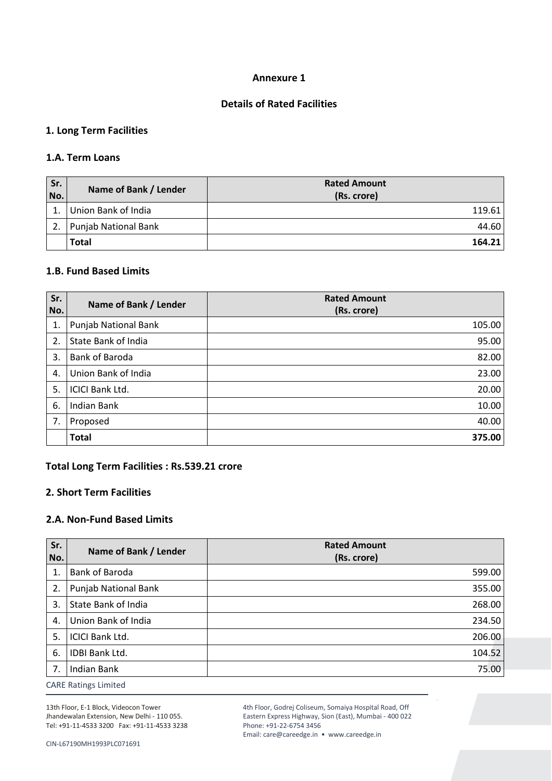### **Annexure 1**

### **Details of Rated Facilities**

### **1. Long Term Facilities**

### **1.A. Term Loans**

| Sr.<br>No. | Name of Bank / Lender       | <b>Rated Amount</b><br>(Rs. crore) |
|------------|-----------------------------|------------------------------------|
|            | Union Bank of India         | 119.61                             |
|            | <b>Punjab National Bank</b> | 44.60                              |
|            | <b>Total</b>                | 164.21                             |

### **1.B. Fund Based Limits**

| Sr.<br>No. | Name of Bank / Lender       | <b>Rated Amount</b><br>(Rs. crore) |
|------------|-----------------------------|------------------------------------|
| 1.         | <b>Punjab National Bank</b> | 105.00                             |
| 2.         | State Bank of India         | 95.00                              |
| 3.         | Bank of Baroda              | 82.00                              |
| 4.         | Union Bank of India         | 23.00                              |
| 5.         | <b>ICICI Bank Ltd.</b>      | 20.00                              |
| 6.         | <b>Indian Bank</b>          | 10.00                              |
| 7.         | Proposed                    | 40.00                              |
|            | <b>Total</b>                | 375.00                             |

### **Total Long Term Facilities : Rs.539.21 crore**

### **2. Short Term Facilities**

### **2.A. Non-Fund Based Limits**

| Sr.<br>No. | Name of Bank / Lender       | <b>Rated Amount</b><br>(Rs. crore) |
|------------|-----------------------------|------------------------------------|
| 1.         | Bank of Baroda              | 599.00                             |
| 2.         | <b>Punjab National Bank</b> | 355.00                             |
| 3.         | State Bank of India         | 268.00                             |
| 4.         | Union Bank of India         | 234.50                             |
| 5.         | <b>ICICI Bank Ltd.</b>      | 206.00                             |
| 6.         | IDBI Bank Ltd.              | 104.52                             |
| 7.         | <b>Indian Bank</b>          | 75.00                              |
|            | CADE Detto as Historical    |                                    |

CARE Ratings Limited

13th Floor, E-1 Block, Videocon Tower Jhandewalan Extension, New Delhi - 110 055. Tel: +91-11-4533 3200 Fax: +91-11-4533 3238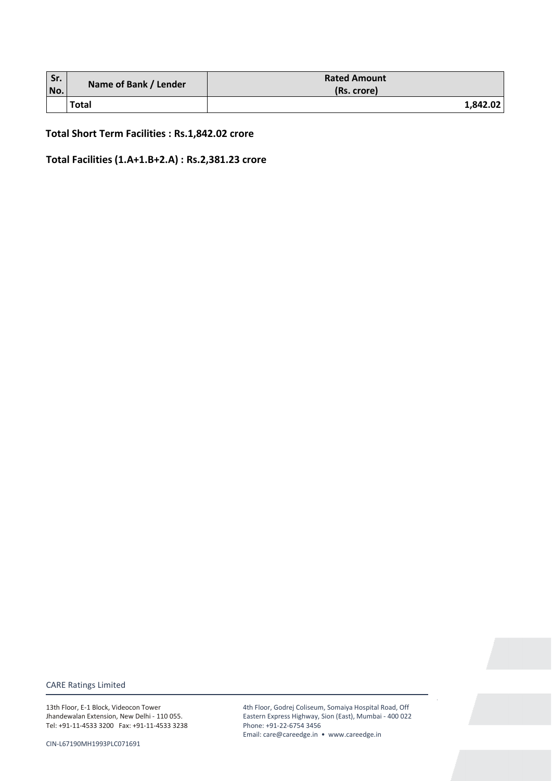| Sr. | Name of Bank / Lender | <b>Rated Amount</b> |
|-----|-----------------------|---------------------|
| No. |                       | (Rs. crore)         |
|     | Total                 | 1,842.02            |

**Total Short Term Facilities : Rs.1,842.02 crore** 

**Total Facilities (1.A+1.B+2.A) : Rs.2,381.23 crore** 

CARE Ratings Limited

13th Floor, E-1 Block, Videocon Tower Jhandewalan Extension, New Delhi - 110 055. Tel: +91-11-4533 3200 Fax: +91-11-4533 3238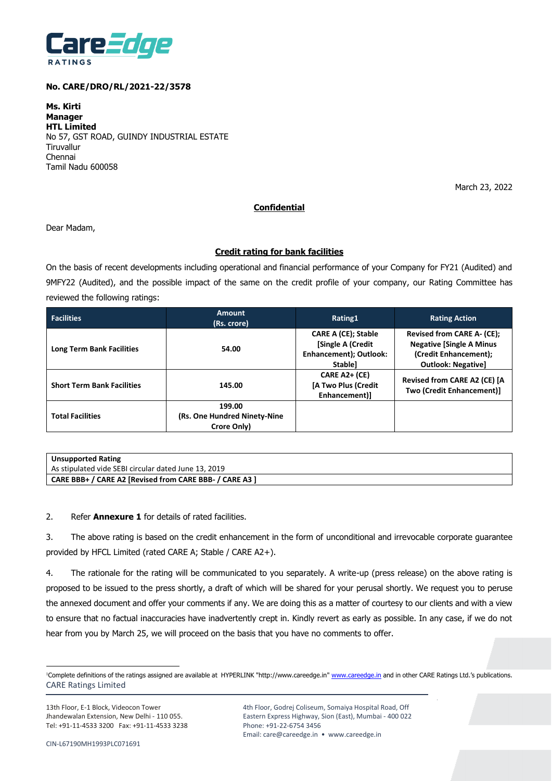

#### **No. CARE/DRO/RL/2021-22/3578**

**Ms. Kirti Manager HTL Limited** No 57, GST ROAD, GUINDY INDUSTRIAL ESTATE **Tiruvallur** Chennai Tamil Nadu 600058

March 23, 2022

### **Confidential**

Dear Madam,

#### **Credit rating for bank facilities**

On the basis of recent developments including operational and financial performance of your Company for FY21 (Audited) and 9MFY22 (Audited), and the possible impact of the same on the credit profile of your company, our Rating Committee has reviewed the following ratings:

| <b>Facilities</b>                 | <b>Amount</b><br>(Rs. crore)                           | Rating1                                                                              | <b>Rating Action</b>                                                                                                       |
|-----------------------------------|--------------------------------------------------------|--------------------------------------------------------------------------------------|----------------------------------------------------------------------------------------------------------------------------|
| <b>Long Term Bank Facilities</b>  | 54.00                                                  | <b>CARE A (CE); Stable</b><br>[Single A (Credit<br>Enhancement); Outlook:<br>Stable] | <b>Revised from CARE A- (CE);</b><br><b>Negative [Single A Minus</b><br>(Credit Enhancement);<br><b>Outlook: Negative]</b> |
| <b>Short Term Bank Facilities</b> | 145.00                                                 | CARE A2+ (CE)<br>[A Two Plus (Credit<br>Enhancement)]                                | Revised from CARE A2 (CE) [A<br>Two (Credit Enhancement)]                                                                  |
| <b>Total Facilities</b>           | 199.00<br>(Rs. One Hundred Ninety-Nine)<br>Crore Only) |                                                                                      |                                                                                                                            |

| <b>Unsupported Rating</b>                               |
|---------------------------------------------------------|
| As stipulated vide SEBI circular dated June 13, 2019    |
| CARE BBB+ / CARE A2 [Revised from CARE BBB- / CARE A3 ] |

2. Refer **Annexure 1** for details of rated facilities.

3. The above rating is based on the credit enhancement in the form of unconditional and irrevocable corporate guarantee provided by HFCL Limited (rated CARE A; Stable / CARE A2+).

4. The rationale for the rating will be communicated to you separately. A write-up (press release) on the above rating is proposed to be issued to the press shortly, a draft of which will be shared for your perusal shortly. We request you to peruse the annexed document and offer your comments if any. We are doing this as a matter of courtesy to our clients and with a view to ensure that no factual inaccuracies have inadvertently crept in. Kindly revert as early as possible. In any case, if we do not hear from you by March 25, we will proceed on the basis that you have no comments to offer.

13th Floor, E-1 Block, Videocon Tower Jhandewalan Extension, New Delhi - 110 055. Tel: +91-11-4533 3200 Fax: +91-11-4533 3238

CARE Ratings Limited <sup>1</sup>Complete definitions of the ratings assigned are available at HYPERLINK "http://www.careedge.in" www.careedge.in and in other CARE Ratings Ltd.'s publications.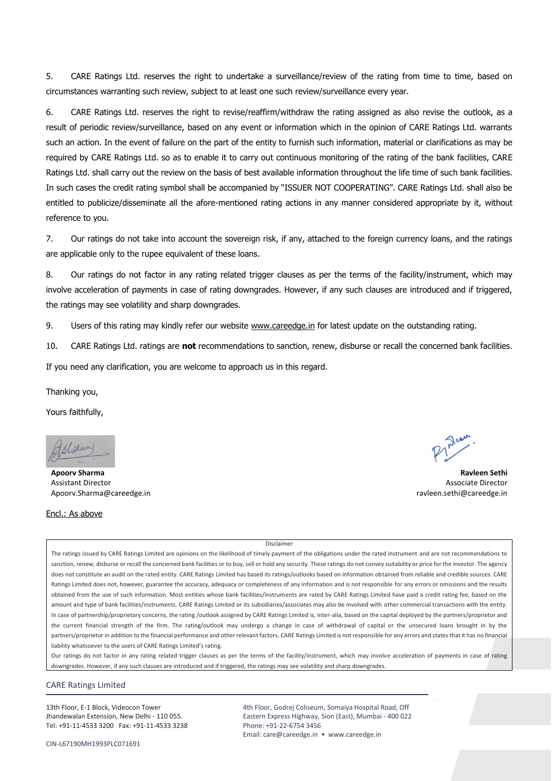5. CARE Ratings Ltd. reserves the right to undertake a surveillance/review of the rating from time to time, based on circumstances warranting such review, subject to at least one such review/surveillance every year.

6. CARE Ratings Ltd. reserves the right to revise/reaffirm/withdraw the rating assigned as also revise the outlook, as a result of periodic review/surveillance, based on any event or information which in the opinion of CARE Ratings Ltd. warrants such an action. In the event of failure on the part of the entity to furnish such information, material or clarifications as may be required by CARE Ratings Ltd. so as to enable it to carry out continuous monitoring of the rating of the bank facilities, CARE Ratings Ltd. shall carry out the review on the basis of best available information throughout the life time of such bank facilities. In such cases the credit rating symbol shall be accompanied by "ISSUER NOT COOPERATING". CARE Ratings Ltd. shall also be entitled to publicize/disseminate all the afore-mentioned rating actions in any manner considered appropriate by it, without reference to you.

7. Our ratings do not take into account the sovereign risk, if any, attached to the foreign currency loans, and the ratings are applicable only to the rupee equivalent of these loans.

8. Our ratings do not factor in any rating related trigger clauses as per the terms of the facility/instrument, which may involve acceleration of payments in case of rating downgrades. However, if any such clauses are introduced and if triggered, the ratings may see volatility and sharp downgrades.

9. Users of this rating may kindly refer our website www.careedge.in for latest update on the outstanding rating.

10. CARE Ratings Ltd. ratings are **not** recommendations to sanction, renew, disburse or recall the concerned bank facilities.

If you need any clarification, you are welcome to approach us in this regard.

Thanking you,

Yours faithfully,

Shalung

Encl.: As above

Assistant Director Associate Director Apoorv.Sharma@careedge.in ravleen.sethi@careedge.in

**Apoorv Sharma Ravleen Sethi** 

Disclaimer

The ratings issued by CARE Ratings Limited are opinions on the likelihood of timely payment of the obligations under the rated instrument and are not recommendations to sanction, renew, disburse or recall the concerned bank facilities or to buy, sell or hold any security. These ratings do not convey suitability or price for the investor. The agency does not constitute an audit on the rated entity. CARE Ratings Limited has based its ratings/outlooks based on information obtained from reliable and credible sources. CARE Ratings Limited does not, however, guarantee the accuracy, adequacy or completeness of any information and is not responsible for any errors or omissions and the results obtained from the use of such information. Most entities whose bank facilities/instruments are rated by CARE Ratings Limited have paid a credit rating fee, based on the amount and type of bank facilities/instruments. CARE Ratings Limited or its subsidiaries/associates may also be involved with other commercial transactions with the entity. In case of partnership/proprietary concerns, the rating /outlook assigned by CARE Ratings Limited is, inter-alia, based on the capital deployed by the partners/proprietor and the current financial strength of the firm. The rating/outlook may undergo a change in case of withdrawal of capital or the unsecured loans brought in by the partners/proprietor in addition to the financial performance and other relevant factors. CARE Ratings Limited is not responsible for any errors and states that it has no financial liability whatsoever to the users of CARE Ratings Limited's rating.

Our ratings do not factor in any rating related trigger clauses as per the terms of the facility/instrument, which may involve acceleration of payments in case of rating downgrades. However, if any such clauses are introduced and if triggered, the ratings may see volatility and sharp downgrades.

#### CARE Ratings Limited

13th Floor, E-1 Block, Videocon Tower Jhandewalan Extension, New Delhi - 110 055. Tel: +91-11-4533 3200 Fax: +91-11-4533 3238